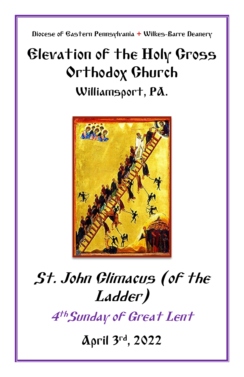Diocese of Eastern Pennsylvania **+** Wilkes-Barre Deanery

## Elevation of the Holy Cross Orthodox Church Williamsport, PA.



# St. John Climacus (of the Ladder)

4 thSunday of Great Lent

April 3rd, 2022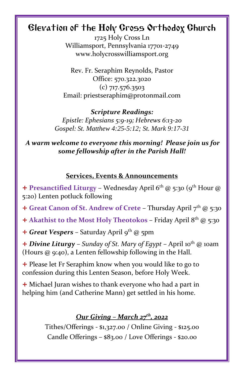### Elevation of the Holy Cross Orthodox Church

1725 Holy Cross Ln Williamsport, Pennsylvania 17701-2749 www.holycrosswilliamsport.org

Rev. Fr. Seraphim Reynolds, Pastor Office: 570.322.3020 (c) 717.576.3503 Email: priestseraphim@protonmail.com

*Scripture Readings: Epistle: Ephesians 5:9-19; Hebrews 6:13-20 Gospel: St. Matthew 4:25-5:12; St. Mark 9:17-31*

*A warm welcome to everyone this morning! Please join us for some fellowship after in the Parish Hall!*

#### **Services, Events & Announcements**

+ **Presanctified Liturgy** – Wednesday April  $6<sup>th</sup>$  @ 5:30 ( $9<sup>th</sup>$  Hour @ 5:20) Lenten potluck following

+ **Great Canon of St. Andrew of Crete** – Thursday April 7th @ 5:30

+ Akathist to the Most Holy Theotokos - Friday April 8<sup>th</sup> @ 5:30

+ Great Vespers - Saturday April 9<sup>th</sup> @ 5pm

+ *Divine Liturgy* – *Sunday of St. Mary of Egypt –* April 10th @ 10am (Hours @ 9:40), a Lenten fellowship following in the Hall.

 $+$  Please let Fr Seraphim know when you would like to go to confession during this Lenten Season, before Holy Week.

+ Michael Juran wishes to thank everyone who had a part in helping him (and Catherine Mann) get settled in his home.

### *Our Giving – March 27 th, 2022*

Tithes/Offerings - \$1,327.00 / Online Giving - \$125.00 Candle Offerings – \$83.00 / Love Offerings - \$20.00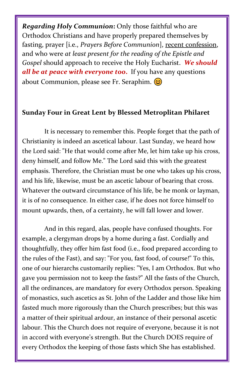*Regarding Holy Communion***:** Only those faithful who are Orthodox Christians and have properly prepared themselves by fasting, prayer [i.e., *Prayers Before Communion*], recent confession, and who were *at least present for the reading of the Epistle and Gospel* should approach to receive the Holy Eucharist. *We should all be at peace with everyone too***.** If you have any questions about Communion, please see Fr. Seraphim.  $\circled{c}$ 

#### **Sunday Four in Great Lent by Blessed Metroplitan Philaret**

It is necessary to remember this. People forget that the path of Christianity is indeed an ascetical labour. Last Sunday, we heard how the Lord said: "He that would come after Me, let him take up his cross, deny himself, and follow Me." The Lord said this with the greatest emphasis. Therefore, the Christian must be one who takes up his cross, and his life, likewise, must be an ascetic labour of bearing that cross. Whatever the outward circumstance of his life, be he monk or layman, it is of no consequence. In either case, if he does not force himself to mount upwards, then, of a certainty, he will fall lower and lower.

And in this regard, alas, people have confused thoughts. For example, a clergyman drops by a home during a fast. Cordially and thoughtfully, they offer him fast food (i.e., food prepared according to the rules of the Fast), and say: "For you, fast food, of course!" To this, one of our hierarchs customarily replies: "Yes, I am Orthodox. But who gave you permission not to keep the fasts?" All the fasts of the Church, all the ordinances, are mandatory for every Orthodox person. Speaking of monastics, such ascetics as St. John of the Ladder and those like him fasted much more rigorously than the Church prescribes; but this was a matter of their spiritual ardour, an instance of their personal ascetic labour. This the Church does not require of everyone, because it is not in accord with everyone's strength. But the Church DOES require of every Orthodox the keeping of those fasts which She has established.